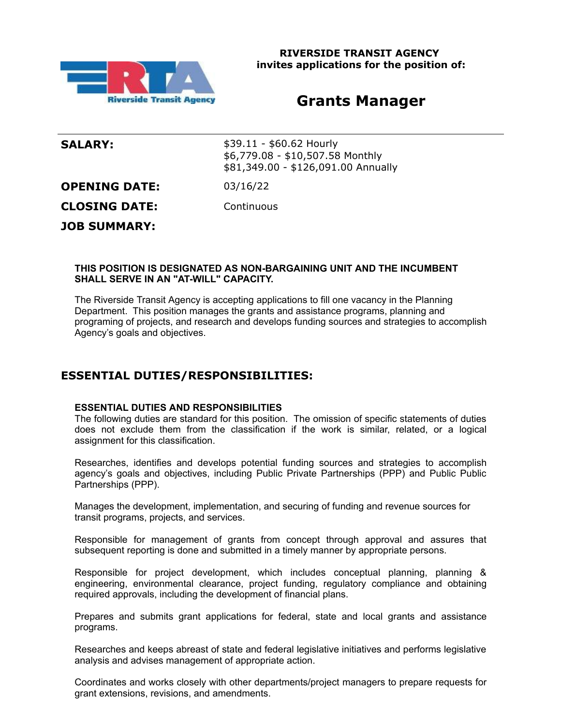

# **Grants Manager**

**SALARY:**  $$39.11 - $60.62$  Hourly \$6,779.08 - \$10,507.58 Monthly \$81,349.00 - \$126,091.00 Annually

**OPENING DATE:** 03/16/22

**CLOSING DATE:** Continuous

**JOB SUMMARY:**

### **THIS POSITION IS DESIGNATED AS NON-BARGAINING UNIT AND THE INCUMBENT SHALL SERVE IN AN "AT-WILL" CAPACITY.**

The Riverside Transit Agency is accepting applications to fill one vacancy in the Planning Department. This position manages the grants and assistance programs, planning and programing of projects, and research and develops funding sources and strategies to accomplish Agency's goals and objectives.

# **ESSENTIAL DUTIES/RESPONSIBILITIES:**

### **ESSENTIAL DUTIES AND RESPONSIBILITIES**

The following duties are standard for this position. The omission of specific statements of duties does not exclude them from the classification if the work is similar, related, or a logical assignment for this classification.

Researches, identifies and develops potential funding sources and strategies to accomplish agency's goals and objectives, including Public Private Partnerships (PPP) and Public Public Partnerships (PPP).

Manages the development, implementation, and securing of funding and revenue sources for transit programs, projects, and services.

Responsible for management of grants from concept through approval and assures that subsequent reporting is done and submitted in a timely manner by appropriate persons.

Responsible for project development, which includes conceptual planning, planning & engineering, environmental clearance, project funding, regulatory compliance and obtaining required approvals, including the development of financial plans.

Prepares and submits grant applications for federal, state and local grants and assistance programs.

Researches and keeps abreast of state and federal legislative initiatives and performs legislative analysis and advises management of appropriate action.

Coordinates and works closely with other departments/project managers to prepare requests for grant extensions, revisions, and amendments.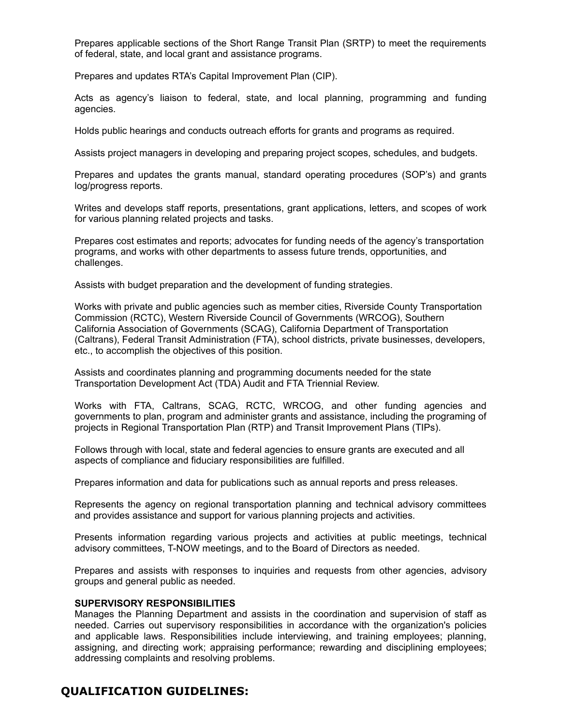Prepares applicable sections of the Short Range Transit Plan (SRTP) to meet the requirements of federal, state, and local grant and assistance programs.

Prepares and updates RTA's Capital Improvement Plan (CIP).

Acts as agency's liaison to federal, state, and local planning, programming and funding agencies.

Holds public hearings and conducts outreach efforts for grants and programs as required.

Assists project managers in developing and preparing project scopes, schedules, and budgets.

Prepares and updates the grants manual, standard operating procedures (SOP's) and grants log/progress reports.

Writes and develops staff reports, presentations, grant applications, letters, and scopes of work for various planning related projects and tasks.

Prepares cost estimates and reports; advocates for funding needs of the agency's transportation programs, and works with other departments to assess future trends, opportunities, and challenges.

Assists with budget preparation and the development of funding strategies.

Works with private and public agencies such as member cities, Riverside County Transportation Commission (RCTC), Western Riverside Council of Governments (WRCOG), Southern California Association of Governments (SCAG), California Department of Transportation (Caltrans), Federal Transit Administration (FTA), school districts, private businesses, developers, etc., to accomplish the objectives of this position.

Assists and coordinates planning and programming documents needed for the state Transportation Development Act (TDA) Audit and FTA Triennial Review.

Works with FTA, Caltrans, SCAG, RCTC, WRCOG, and other funding agencies and governments to plan, program and administer grants and assistance, including the programing of projects in Regional Transportation Plan (RTP) and Transit Improvement Plans (TIPs).

Follows through with local, state and federal agencies to ensure grants are executed and all aspects of compliance and fiduciary responsibilities are fulfilled.

Prepares information and data for publications such as annual reports and press releases.

Represents the agency on regional transportation planning and technical advisory committees and provides assistance and support for various planning projects and activities.

Presents information regarding various projects and activities at public meetings, technical advisory committees, T-NOW meetings, and to the Board of Directors as needed.

Prepares and assists with responses to inquiries and requests from other agencies, advisory groups and general public as needed.

#### **SUPERVISORY RESPONSIBILITIES**

Manages the Planning Department and assists in the coordination and supervision of staff as needed. Carries out supervisory responsibilities in accordance with the organization's policies and applicable laws. Responsibilities include interviewing, and training employees; planning, assigning, and directing work; appraising performance; rewarding and disciplining employees; addressing complaints and resolving problems.

# **QUALIFICATION GUIDELINES:**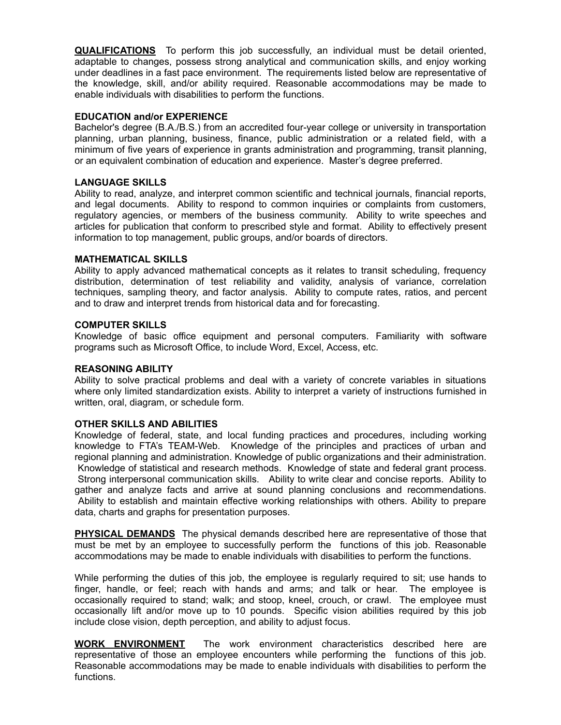**QUALIFICATIONS** To perform this job successfully, an individual must be detail oriented, adaptable to changes, possess strong analytical and communication skills, and enjoy working under deadlines in a fast pace environment. The requirements listed below are representative of the knowledge, skill, and/or ability required. Reasonable accommodations may be made to enable individuals with disabilities to perform the functions.

#### **EDUCATION and/or EXPERIENCE**

Bachelor's degree (B.A./B.S.) from an accredited four-year college or university in transportation planning, urban planning, business, finance, public administration or a related field, with a minimum of five years of experience in grants administration and programming, transit planning, or an equivalent combination of education and experience. Master's degree preferred.

#### **LANGUAGE SKILLS**

Ability to read, analyze, and interpret common scientific and technical journals, financial reports, and legal documents. Ability to respond to common inquiries or complaints from customers, regulatory agencies, or members of the business community. Ability to write speeches and articles for publication that conform to prescribed style and format. Ability to effectively present information to top management, public groups, and/or boards of directors.

#### **MATHEMATICAL SKILLS**

Ability to apply advanced mathematical concepts as it relates to transit scheduling, frequency distribution, determination of test reliability and validity, analysis of variance, correlation techniques, sampling theory, and factor analysis. Ability to compute rates, ratios, and percent and to draw and interpret trends from historical data and for forecasting.

#### **COMPUTER SKILLS**

Knowledge of basic office equipment and personal computers. Familiarity with software programs such as Microsoft Office, to include Word, Excel, Access, etc.

#### **REASONING ABILITY**

Ability to solve practical problems and deal with a variety of concrete variables in situations where only limited standardization exists. Ability to interpret a variety of instructions furnished in written, oral, diagram, or schedule form.

#### **OTHER SKILLS AND ABILITIES**

Knowledge of federal, state, and local funding practices and procedures, including working knowledge to FTA's TEAM-Web. Knowledge of the principles and practices of urban and regional planning and administration. Knowledge of public organizations and their administration. Knowledge of statistical and research methods. Knowledge of state and federal grant process. Strong interpersonal communication skills. Ability to write clear and concise reports. Ability to gather and analyze facts and arrive at sound planning conclusions and recommendations. Ability to establish and maintain effective working relationships with others. Ability to prepare data, charts and graphs for presentation purposes.

**PHYSICAL DEMANDS** The physical demands described here are representative of those that must be met by an employee to successfully perform the functions of this job. Reasonable accommodations may be made to enable individuals with disabilities to perform the functions.

While performing the duties of this job, the employee is regularly required to sit; use hands to finger, handle, or feel; reach with hands and arms; and talk or hear. The employee is occasionally required to stand; walk; and stoop, kneel, crouch, or crawl. The employee must occasionally lift and/or move up to 10 pounds. Specific vision abilities required by this job include close vision, depth perception, and ability to adjust focus.

**WORK ENVIRONMENT** The work environment characteristics described here are representative of those an employee encounters while performing the functions of this job. Reasonable accommodations may be made to enable individuals with disabilities to perform the functions.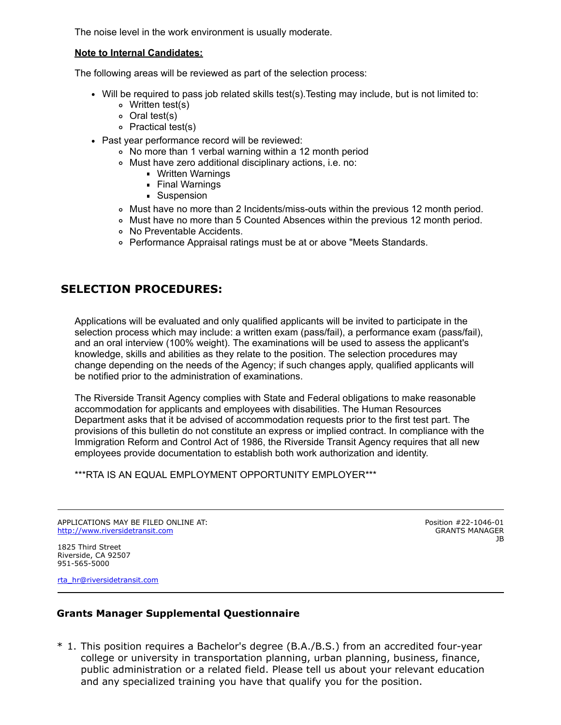The noise level in the work environment is usually moderate.

#### **Note to Internal Candidates:**

The following areas will be reviewed as part of the selection process:

- Will be required to pass job related skills test(s).Testing may include, but is not limited to:
	- Written test(s)
	- Oral test(s)
	- Practical test(s)
- Past year performance record will be reviewed:
	- No more than 1 verbal warning within a 12 month period
	- Must have zero additional disciplinary actions, i.e. no:
		- Written Warnings
		- Final Warnings
		- **Suspension**
	- Must have no more than 2 Incidents/miss-outs within the previous 12 month period.
	- Must have no more than 5 Counted Absences within the previous 12 month period.
	- No Preventable Accidents.
	- Performance Appraisal ratings must be at or above "Meets Standards.

## **SELECTION PROCEDURES:**

Applications will be evaluated and only qualified applicants will be invited to participate in the selection process which may include: a written exam (pass/fail), a performance exam (pass/fail), and an oral interview (100% weight). The examinations will be used to assess the applicant's knowledge, skills and abilities as they relate to the position. The selection procedures may change depending on the needs of the Agency; if such changes apply, qualified applicants will be notified prior to the administration of examinations.

The Riverside Transit Agency complies with State and Federal obligations to make reasonable accommodation for applicants and employees with disabilities. The Human Resources Department asks that it be advised of accommodation requests prior to the first test part. The provisions of this bulletin do not constitute an express or implied contract. In compliance with the Immigration Reform and Control Act of 1986, the Riverside Transit Agency requires that all new employees provide documentation to establish both work authorization and identity.

\*\*\*RTA IS AN EQUAL EMPLOYMENT OPPORTUNITY EMPLOYER\*\*\*

APPLICATIONS MAY BE FILED ONLINE AT: [http://www.riversidetransit.com](http://www.riversidetransit.com/)

Position #22-1046-01 GRANTS MANAGER JB

1825 Third Street Riverside, CA 92507 951-565-5000

[rta\\_hr@riversidetransit.com](mailto:rta_hr@riversidetransit.com)

### **Grants Manager Supplemental Questionnaire**

\* 1. This position requires a Bachelor's degree (B.A./B.S.) from an accredited four-year college or university in transportation planning, urban planning, business, finance, public administration or a related field. Please tell us about your relevant education and any specialized training you have that qualify you for the position.